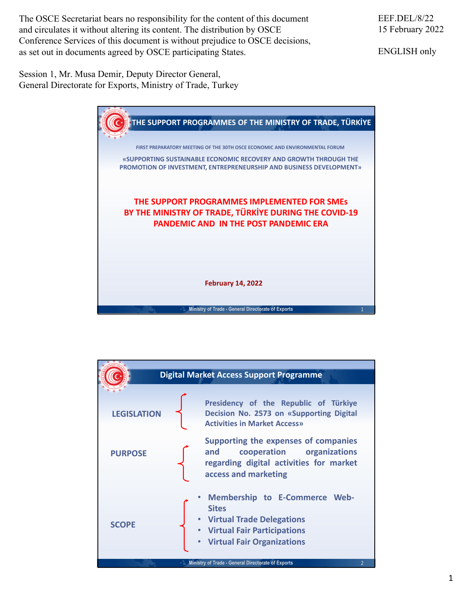The OSCE Secretariat bears no responsibility for the content of this document and circulates it without altering its content. The distribution by OSCE Conference Services of this document is without prejudice to OSCE decisions, as set out in documents agreed by OSCE participating States.

EEF.DEL/8/22 15 February 2022

ENGLISH only

Session 1, Mr. Musa Demir, Deputy Director General, General Directorate for Exports, Ministry of Trade, Turkey



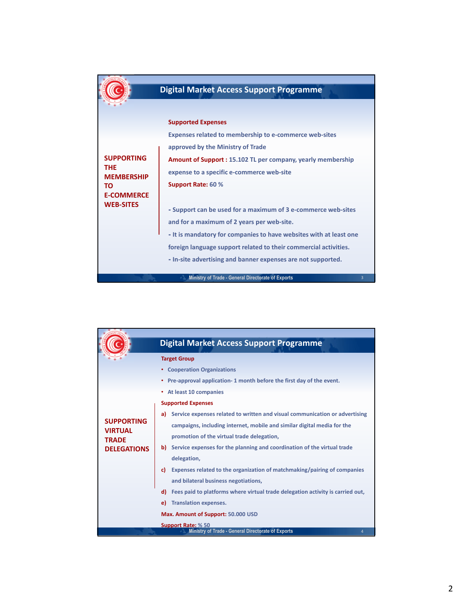| <b>Digital Market Access Support Programme</b>                     |
|--------------------------------------------------------------------|
|                                                                    |
| <b>Supported Expenses</b>                                          |
| <b>Expenses related to membership to e-commerce web-sites</b>      |
| approved by the Ministry of Trade                                  |
| <b>Amount of Support: 15.102 TL per company, yearly membership</b> |
| expense to a specific e-commerce web-site                          |
| Support Rate: 60 %                                                 |
|                                                                    |
| - Support can be used for a maximum of 3 e-commerce web-sites      |
| and for a maximum of 2 years per web-site.                         |
| - It is mandatory for companies to have websites with at least one |
| foreign language support related to their commercial activities.   |
| - In-site advertising and banner expenses are not supported.       |
| Ministry of Trade - General Directorate of Exports<br>3.           |
|                                                                    |

|                                                     | <b>Digital Market Access Support Programme</b>                                       |
|-----------------------------------------------------|--------------------------------------------------------------------------------------|
|                                                     | <b>Target Group</b>                                                                  |
|                                                     | • Cooperation Organizations                                                          |
|                                                     | Pre-approval application-1 month before the first day of the event.                  |
|                                                     | At least 10 companies<br>٠                                                           |
|                                                     | <b>Supported Expenses</b>                                                            |
|                                                     | Service expenses related to written and visual communication or advertising<br>a)    |
| <b>SUPPORTING</b><br><b>VIRTUAL</b><br><b>TRADE</b> | campaigns, including internet, mobile and similar digital media for the              |
|                                                     | promotion of the virtual trade delegation,                                           |
| <b>DELEGATIONS</b>                                  | Service expenses for the planning and coordination of the virtual trade<br>b).       |
|                                                     | delegation,                                                                          |
|                                                     | Expenses related to the organization of matchmaking/pairing of companies<br>C)       |
|                                                     | and bilateral business negotiations,                                                 |
|                                                     | Fees paid to platforms where virtual trade delegation activity is carried out,<br>d) |
|                                                     | <b>Translation expenses.</b><br>e)                                                   |
|                                                     | Max. Amount of Support: 50.000 USD                                                   |
|                                                     | <b>Support Rate: % 50</b>                                                            |
|                                                     | Ministry of Trade - General Directorate of Exports                                   |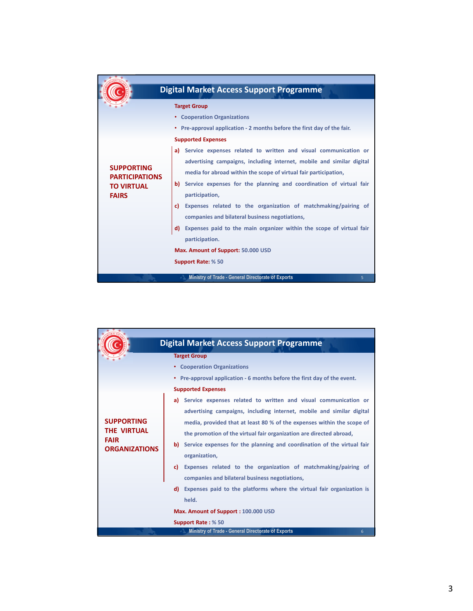|                                                                                 | <b>Digital Market Access Support Programme</b>                                                                                                                                                                                                                                                                                                                  |
|---------------------------------------------------------------------------------|-----------------------------------------------------------------------------------------------------------------------------------------------------------------------------------------------------------------------------------------------------------------------------------------------------------------------------------------------------------------|
|                                                                                 | <b>Target Group</b>                                                                                                                                                                                                                                                                                                                                             |
|                                                                                 | • Cooperation Organizations                                                                                                                                                                                                                                                                                                                                     |
|                                                                                 | • Pre-approval application - 2 months before the first day of the fair.                                                                                                                                                                                                                                                                                         |
|                                                                                 | <b>Supported Expenses</b>                                                                                                                                                                                                                                                                                                                                       |
|                                                                                 | Service expenses related to written and visual communication or<br>a)                                                                                                                                                                                                                                                                                           |
| <b>SUPPORTING</b><br><b>PARTICIPATIONS</b><br><b>TO VIRTUAL</b><br><b>FAIRS</b> | advertising campaigns, including internet, mobile and similar digital<br>media for abroad within the scope of virtual fair participation,<br>b) Service expenses for the planning and coordination of virtual fair<br>participation,<br>Expenses related to the organization of matchmaking/pairing of<br>c).<br>companies and bilateral business negotiations, |
|                                                                                 | Expenses paid to the main organizer within the scope of virtual fair<br>d)<br>participation.<br>Max. Amount of Support: 50.000 USD                                                                                                                                                                                                                              |
|                                                                                 | Support Rate: % 50                                                                                                                                                                                                                                                                                                                                              |
|                                                                                 | Ministry of Trade - General Directorate of Exports<br>5                                                                                                                                                                                                                                                                                                         |

|                                                                                | <b>Digital Market Access Support Programme</b>                                                                                                                                                                                                                                                                                                                                                   |
|--------------------------------------------------------------------------------|--------------------------------------------------------------------------------------------------------------------------------------------------------------------------------------------------------------------------------------------------------------------------------------------------------------------------------------------------------------------------------------------------|
|                                                                                | <b>Target Group</b>                                                                                                                                                                                                                                                                                                                                                                              |
|                                                                                | <b>Cooperation Organizations</b>                                                                                                                                                                                                                                                                                                                                                                 |
|                                                                                | Pre-approval application - 6 months before the first day of the event.                                                                                                                                                                                                                                                                                                                           |
|                                                                                | <b>Supported Expenses</b>                                                                                                                                                                                                                                                                                                                                                                        |
| <b>SUPPORTING</b><br><b>THE VIRTUAL</b><br><b>FAIR</b><br><b>ORGANIZATIONS</b> | Service expenses related to written and visual communication or<br>a)<br>advertising campaigns, including internet, mobile and similar digital<br>media, provided that at least 80 % of the expenses within the scope of<br>the promotion of the virtual fair organization are directed abroad,<br>Service expenses for the planning and coordination of the virtual fair<br>b)<br>organization, |
|                                                                                | Expenses related to the organization of matchmaking/pairing of<br>c)<br>companies and bilateral business negotiations,                                                                                                                                                                                                                                                                           |
|                                                                                | Expenses paid to the platforms where the virtual fair organization is<br>d)<br>held.                                                                                                                                                                                                                                                                                                             |
|                                                                                | Max. Amount of Support: 100.000 USD                                                                                                                                                                                                                                                                                                                                                              |
|                                                                                | <b>Support Rate: % 50</b>                                                                                                                                                                                                                                                                                                                                                                        |
|                                                                                | Ministry of Trade - General Directorate of Exports<br>6                                                                                                                                                                                                                                                                                                                                          |